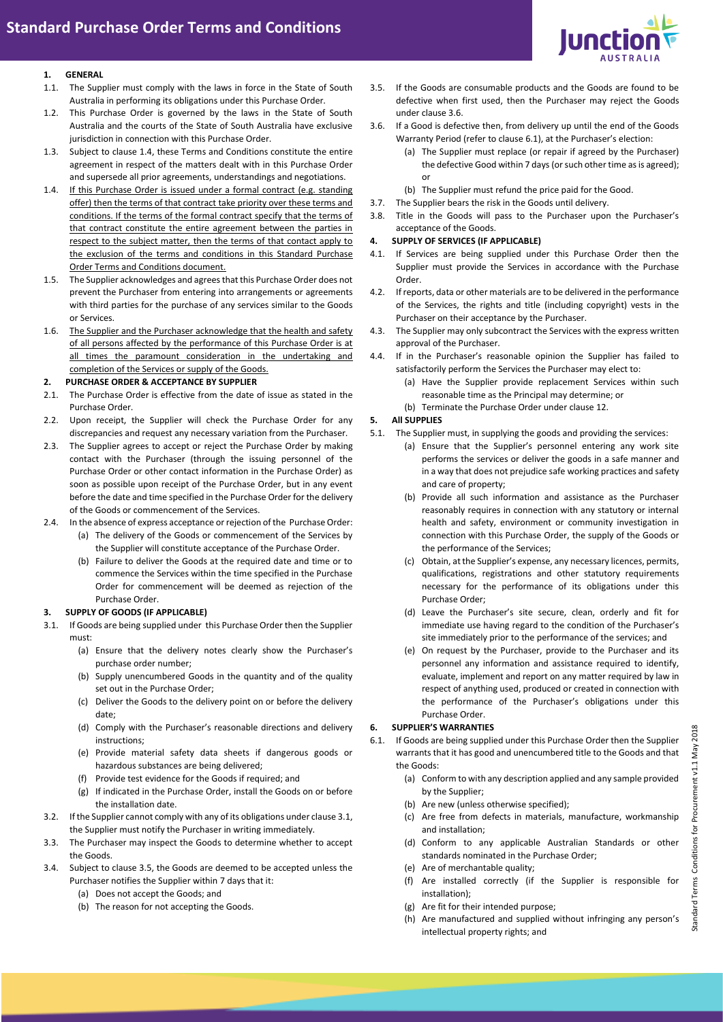

### **1. GENERAL**

- 1.1. The Supplier must comply with the laws in force in the State of South Australia in performing its obligations under this Purchase Order.
- 1.2. This Purchase Order is governed by the laws in the State of South Australia and the courts of the State of South Australia have exclusive jurisdiction in connection with this Purchase Order.
- 1.3. Subject to clause 1.4, these Terms and Conditions constitute the entire agreement in respect of the matters dealt with in this Purchase Order and supersede all prior agreements, understandings and negotiations.
- 1.4. If this Purchase Order is issued under a formal contract (e.g. standing offer) then the terms of that contract take priority over these terms and conditions. If the terms of the formal contract specify that the terms of that contract constitute the entire agreement between the parties in respect to the subject matter, then the terms of that contact apply to the exclusion of the terms and conditions in this Standard Purchase Order Terms and Conditions document.
- 1.5. The Supplier acknowledges and agrees that this Purchase Order does not prevent the Purchaser from entering into arrangements or agreements with third parties for the purchase of any services similar to the Goods or Services.
- 1.6. The Supplier and the Purchaser acknowledge that the health and safety of all persons affected by the performance of this Purchase Order is at all times the paramount consideration in the undertaking and completion of the Services or supply of the Goods.
- **2. PURCHASE ORDER & ACCEPTANCE BY SUPPLIER**
- 2.1. The Purchase Order is effective from the date of issue as stated in the Purchase Order.
- 2.2. Upon receipt, the Supplier will check the Purchase Order for any discrepancies and request any necessary variation from the Purchaser.
- 2.3. The Supplier agrees to accept or reject the Purchase Order by making contact with the Purchaser (through the issuing personnel of the Purchase Order or other contact information in the Purchase Order) as soon as possible upon receipt of the Purchase Order, but in any event before the date and time specified in the Purchase Order for the delivery of the Goods or commencement of the Services.
- 2.4. In the absence of express acceptance or rejection of the Purchase Order:
	- (a) The delivery of the Goods or commencement of the Services by the Supplier will constitute acceptance of the Purchase Order.
	- (b) Failure to deliver the Goods at the required date and time or to commence the Services within the time specified in the Purchase Order for commencement will be deemed as rejection of the Purchase Order.

# **3. SUPPLY OF GOODS (IF APPLICABLE)**

- <span id="page-0-0"></span>3.1. If Goods are being supplied under this Purchase Order then the Supplier must:
	- (a) Ensure that the delivery notes clearly show the Purchaser's purchase order number;
	- (b) Supply unencumbered Goods in the quantity and of the quality set out in the Purchase Order;
	- (c) Deliver the Goods to the delivery point on or before the delivery date;
	- (d) Comply with the Purchaser's reasonable directions and delivery instructions;
	- (e) Provide material safety data sheets if dangerous goods or hazardous substances are being delivered;
	- (f) Provide test evidence for the Goods if required; and
	- (g) If indicated in the Purchase Order, install the Goods on or before the installation date.
- 3.2. If the Supplier cannot comply with any of its obligations under claus[e 3.1,](#page-0-0)  the Supplier must notify the Purchaser in writing immediately.
- 3.3. The Purchaser may inspect the Goods to determine whether to accept the Goods.
- 3.4. Subject to clause 3.5, the Goods are deemed to be accepted unless the Purchaser notifies the Supplier within 7 days that it:
	- (a) Does not accept the Goods; and
	- (b) The reason for not accepting the Goods.
- 3.5. If the Goods are consumable products and the Goods are found to be defective when first used, then the Purchaser may reject the Goods under claus[e 3.6.](#page-0-1)
- <span id="page-0-1"></span>3.6. If a Good is defective then, from delivery up until the end of the Goods Warranty Period (refer to claus[e 6.1](#page-0-2)), at the Purchaser's election:
	- (a) The Supplier must replace (or repair if agreed by the Purchaser) the defective Good within 7 days (or such other time as is agreed); or
	- (b) The Supplier must refund the price paid for the Good.
- 3.7. The Supplier bears the risk in the Goods until delivery.
- 3.8. Title in the Goods will pass to the Purchaser upon the Purchaser's acceptance of the Goods.

### **4. SUPPLY OF SERVICES (IF APPLICABLE)**

- 4.1. If Services are being supplied under this Purchase Order then the Supplier must provide the Services in accordance with the Purchase Order.
- 4.2. If reports, data or other materials are to be delivered in the performance of the Services, the rights and title (including copyright) vests in the Purchaser on their acceptance by the Purchaser.
- 4.3. The Supplier may only subcontract the Services with the express written approval of the Purchaser.
- 4.4. If in the Purchaser's reasonable opinion the Supplier has failed to satisfactorily perform the Services the Purchaser may elect to:
	- (a) Have the Supplier provide replacement Services within such reasonable time as the Principal may determine; or
	- (b) Terminate the Purchase Order under claus[e 12.](#page-1-0)

# **5. All SUPPLIES**

- 5.1. The Supplier must, in supplying the goods and providing the services:
	- (a) Ensure that the Supplier's personnel entering any work site performs the services or deliver the goods in a safe manner and in a way that does not prejudice safe working practices and safety and care of property;
	- (b) Provide all such information and assistance as the Purchaser reasonably requires in connection with any statutory or internal health and safety, environment or community investigation in connection with this Purchase Order, the supply of the Goods or the performance of the Services;
	- (c) Obtain, at the Supplier's expense, any necessary licences, permits, qualifications, registrations and other statutory requirements necessary for the performance of its obligations under this Purchase Order;
	- (d) Leave the Purchaser's site secure, clean, orderly and fit for immediate use having regard to the condition of the Purchaser's site immediately prior to the performance of the services; and
	- (e) On request by the Purchaser, provide to the Purchaser and its personnel any information and assistance required to identify, evaluate, implement and report on any matter required by law in respect of anything used, produced or created in connection with the performance of the Purchaser's obligations under this Purchase Order.

# **6. SUPPLIER'S WARRANTIES**

- <span id="page-0-2"></span>6.1. If Goods are being supplied under this Purchase Order then the Supplier warrants that it has good and unencumbered title to the Goods and that the Goods:
	- (a) Conform to with any description applied and any sample provided by the Supplier;
	- (b) Are new (unless otherwise specified);
	- (c) Are free from defects in materials, manufacture, workmanship and installation;
	- (d) Conform to any applicable Australian Standards or other standards nominated in the Purchase Order;
	- (e) Are of merchantable quality;
	- (f) Are installed correctly (if the Supplier is responsible for installation);
	- (g) Are fit for their intended purpose;
	- (h) Are manufactured and supplied without infringing any person's intellectual property rights; and